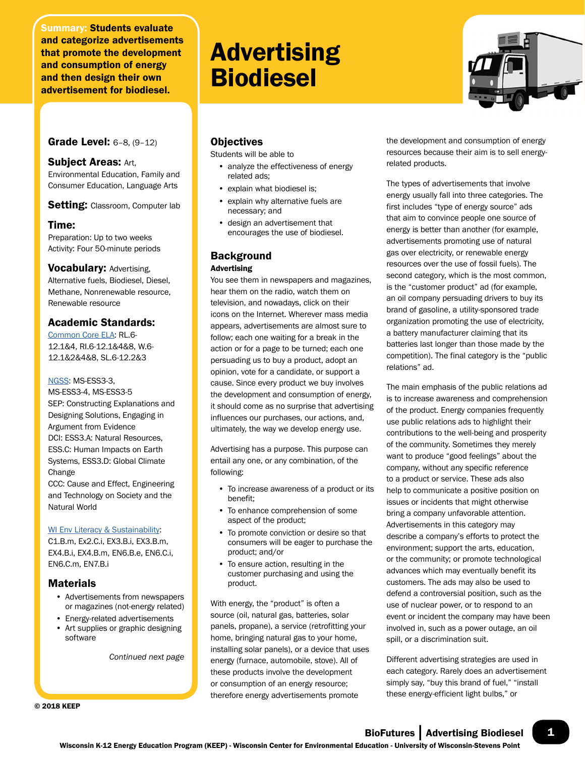Summary: Students evaluate and categorize advertisements that promote the development and consumption of energy and then design their own advertisement for biodiesel.

Grade Level: 6–8, (9–12)

## Subject Areas: Art,

Environmental Education, Family and Consumer Education, Language Arts

Setting: Classroom, Computer lab

## Time:

Preparation: Up to two weeks Activity: Four 50-minute periods

**Vocabulary: Advertising,** Alternative fuels, Biodiesel, Diesel, Methane, Nonrenewable resource, Renewable resource

# Academic Standards:

[Common Core ELA:](http://www.uwsp.edu/cnr-ap/KEEP/Documents/Activities/Standards/CommonCoreELA_Standards.pdf) RL.6- 12.1&4, RI.6-12.1&4&8, W.6- 12.1&2&4&8, SL.6-12.2&3

### [NGSS:](http://www.uwsp.edu/cnr-ap/KEEP/Documents/Activities/Standards/NGSS.pdf) MS-ESS3-3,

MS-ESS3-4, MS-ESS3-5 SEP: Constructing Explanations and Designing Solutions, Engaging in Argument from Evidence DCI: ESS3.A: Natural Resources, ESS.C: Human Impacts on Earth Systems, ESS3.D: Global Climate Change

CCC: Cause and Effect, Engineering and Technology on Society and the Natural World

## [WI Env Literacy & Sustainability](https://dpi.wi.gov/environmental-ed/standards):

C1.B.m, Ex2.C.i, EX3.B.i, EX3.B.m, EX4.B.i, EX4.B.m, EN6.B.e, EN6.C.i, EN6.C.m, EN7.B.i

# Materials

- Advertisements from newspapers or magazines (not-energy related)
- Energy-related advertisements
- Art supplies or graphic designing software

*Continued next page*

© 2018 KEEP

# Advertising Biodiesel



**Objectives** 

Students will be able to

- analyze the effectiveness of energy related ads;
- explain what biodiesel is;
- explain why alternative fuels are necessary; and
- design an advertisement that encourages the use of biodiesel.

# **Background** Advertising

You see them in newspapers and magazines, hear them on the radio, watch them on television, and nowadays, click on their icons on the Internet. Wherever mass media appears, advertisements are almost sure to follow; each one waiting for a break in the action or for a page to be turned; each one persuading us to buy a product, adopt an opinion, vote for a candidate, or support a cause. Since every product we buy involves the development and consumption of energy, it should come as no surprise that advertising influences our purchases, our actions, and, ultimately, the way we develop energy use.

Advertising has a purpose. This purpose can entail any one, or any combination, of the following:

- To increase awareness of a product or its benefit;
- To enhance comprehension of some aspect of the product;
- To promote conviction or desire so that consumers will be eager to purchase the product; and/or
- To ensure action, resulting in the customer purchasing and using the product.

With energy, the "product" is often a source (oil, natural gas, batteries, solar panels, propane), a service (retrofitting your home, bringing natural gas to your home, installing solar panels), or a device that uses energy (furnace, automobile, stove). All of these products involve the development or consumption of an energy resource; therefore energy advertisements promote

the development and consumption of energy resources because their aim is to sell energyrelated products.

The types of advertisements that involve energy usually fall into three categories. The first includes "type of energy source" ads that aim to convince people one source of energy is better than another (for example, advertisements promoting use of natural gas over electricity, or renewable energy resources over the use of fossil fuels). The second category, which is the most common, is the "customer product" ad (for example, an oil company persuading drivers to buy its brand of gasoline, a utility-sponsored trade organization promoting the use of electricity, a battery manufacturer claiming that its batteries last longer than those made by the competition). The final category is the "public relations" ad.

The main emphasis of the public relations ad is to increase awareness and comprehension of the product. Energy companies frequently use public relations ads to highlight their contributions to the well-being and prosperity of the community. Sometimes they merely want to produce "good feelings" about the company, without any specific reference to a product or service. These ads also help to communicate a positive position on issues or incidents that might otherwise bring a company unfavorable attention. Advertisements in this category may describe a company's efforts to protect the environment; support the arts, education, or the community; or promote technological advances which may eventually benefit its customers. The ads may also be used to defend a controversial position, such as the use of nuclear power, or to respond to an event or incident the company may have been involved in, such as a power outage, an oil spill, or a discrimination suit.

Different advertising strategies are used in each category. Rarely does an advertisement simply say, "buy this brand of fuel," "install these energy-efficient light bulbs," or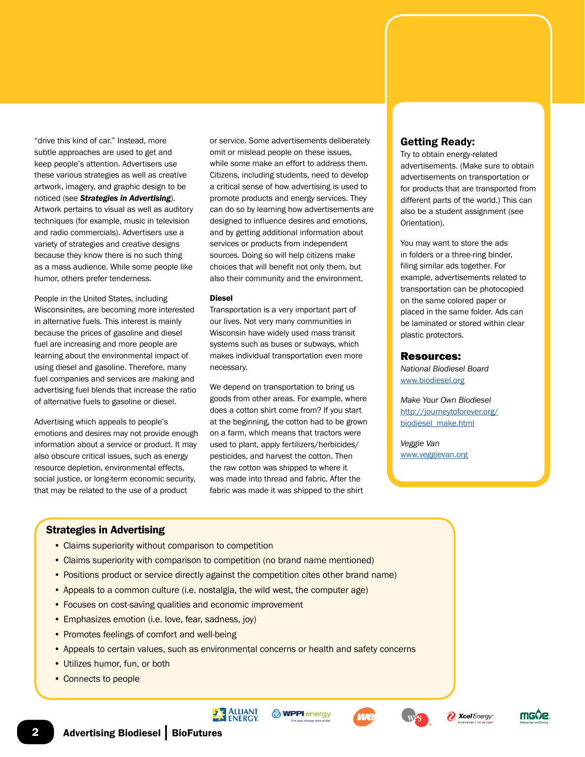"drive this kind of car." Instead, more subtle approaches are used to get and keep people's attention. Advertisers use these various strategies as well as creative artwork, imagery, and graphic design to be noticed (see *Strategies in Advertising*). Artwork pertains to visual as well as auditory techniques (for example, music in television and radio commercials). Advertisers use a variety of strategies and creative designs because they know there is no such thing as a mass audience. While some people like humor, others prefer tenderness.

People in the United States, including Wisconsinites, are becoming more interested in alternative fuels. This interest is mainly because the prices of gasoline and diesel fuel are increasing and more people are learning about the environmental impact of using diesel and gasoline. Therefore, many fuel companies and services are making and advertising fuel blends that increase the ratio of alternative fuels to gasoline or diesel.

Advertising which appeals to people's emotions and desires may not provide enough information about a service or product. It may also obscure critical issues, such as energy resource depletion, environmental effects, social justice, or long-term economic security, that may be related to the use of a product

or service. Some advertisements deliberately omit or mislead people on these issues, while some make an effort to address them. Citizens, including students, need to develop a critical sense of how advertising is used to promote products and energy services. They can do so by learning how advertisements are designed to influence desires and emotions, and by getting additional information about services or products from independent sources. Doing so will help citizens make choices that will benefit not only them, but also their community and the environment.

#### Diesel

Transportation is a very important part of our lives. Not very many communities in Wisconsin have widely used mass transit systems such as buses or subways, which makes individual transportation even more necessary.

We depend on transportation to bring us goods from other areas. For example, where does a cotton shirt come from? If you start at the beginning, the cotton had to be grown on a farm, which means that tractors were used to plant, apply fertilizers/herbicides/ pesticides, and harvest the cotton. Then the raw cotton was shipped to where it was made into thread and fabric. After the fabric was made it was shipped to the shirt

# Getting Ready:

Try to obtain energy-related advertisements. (Make sure to obtain advertisements on transportation or for products that are transported from different parts of the world.) This can also be a student assignment (see Orientation).

You may want to store the ads in folders or a three-ring binder, filing similar ads together. For example, advertisements related to transportation can be photocopied on the same colored paper or placed in the same folder. Ads can be laminated or stored within clear plastic protectors.

#### Resources:

*National Biodiesel Board* [www.biodiesel.org](http://www.biodiesel.org)

*Make Your Own Biodiesel* [http://journeytoforever.org/](http://journeytoforever.org/biodiesel_make.html) [biodiesel\\_make.html](http://journeytoforever.org/biodiesel_make.html)

*Veggie Van* [www.veggievan.org](http://www.veggievan.org)

## Strategies in Advertising

- Claims superiority without comparison to competition
- Claims superiority with comparison to competition (no brand name mentioned)
- Positions product or service directly against the competition cites other brand name)
- Appeals to a common culture (i.e. nostalgia, the wild west, the computer age)
- Focuses on cost-saving qualities and economic improvement
- Emphasizes emotion (i.e. love, fear, sadness, joy)
- Promotes feelings of comfort and well-being
- Appeals to certain values, such as environmental concerns or health and safety concerns
- Utilizes humor, fun, or both
- Connects to people







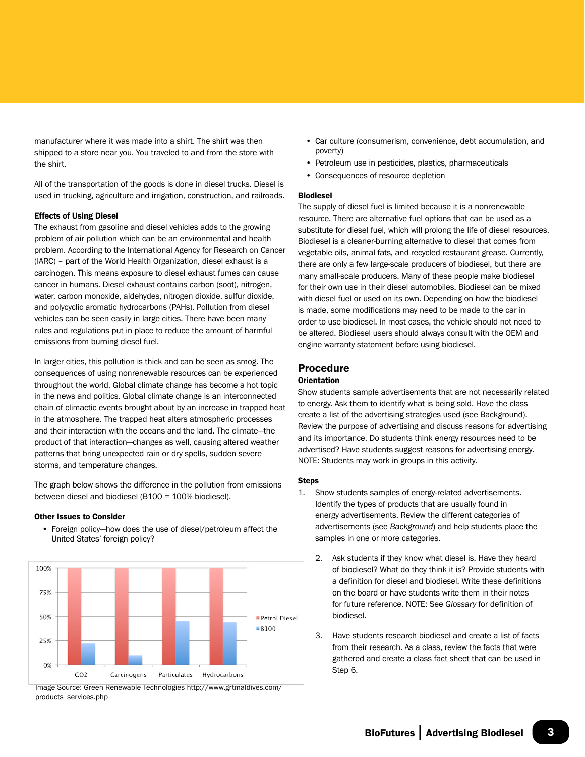manufacturer where it was made into a shirt. The shirt was then shipped to a store near you. You traveled to and from the store with the shirt.

All of the transportation of the goods is done in diesel trucks. Diesel is used in trucking, agriculture and irrigation, construction, and railroads.

#### Effects of Using Diesel

The exhaust from gasoline and diesel vehicles adds to the growing problem of air pollution which can be an environmental and health problem. According to the International Agency for Research on Cancer (IARC) – part of the World Health Organization, diesel exhaust is a carcinogen. This means exposure to diesel exhaust fumes can cause cancer in humans. Diesel exhaust contains carbon (soot), nitrogen, water, carbon monoxide, aldehydes, nitrogen dioxide, sulfur dioxide, and polycyclic aromatic hydrocarbons (PAHs). Pollution from diesel vehicles can be seen easily in large cities. There have been many rules and regulations put in place to reduce the amount of harmful emissions from burning diesel fuel.

In larger cities, this pollution is thick and can be seen as smog. The consequences of using nonrenewable resources can be experienced throughout the world. Global climate change has become a hot topic in the news and politics. Global climate change is an interconnected chain of climactic events brought about by an increase in trapped heat in the atmosphere. The trapped heat alters atmospheric processes and their interaction with the oceans and the land. The climate—the product of that interaction—changes as well, causing altered weather patterns that bring unexpected rain or dry spells, sudden severe storms, and temperature changes.

The graph below shows the difference in the pollution from emissions between diesel and biodiesel (B100 = 100% biodiesel).

#### Other Issues to Consider

• Foreign policy—how does the use of diesel/petroleum affect the United States' foreign policy?



Image Source: Green Renewable Technologies http://www.grtmaldives.com/ products\_services.php

- Car culture (consumerism, convenience, debt accumulation, and poverty)
- Petroleum use in pesticides, plastics, pharmaceuticals
- Consequences of resource depletion

#### Biodiesel

The supply of diesel fuel is limited because it is a nonrenewable resource. There are alternative fuel options that can be used as a substitute for diesel fuel, which will prolong the life of diesel resources. Biodiesel is a cleaner-burning alternative to diesel that comes from vegetable oils, animal fats, and recycled restaurant grease. Currently, there are only a few large-scale producers of biodiesel, but there are many small-scale producers. Many of these people make biodiesel for their own use in their diesel automobiles. Biodiesel can be mixed with diesel fuel or used on its own. Depending on how the biodiesel is made, some modifications may need to be made to the car in order to use biodiesel. In most cases, the vehicle should not need to be altered. Biodiesel users should always consult with the OEM and engine warranty statement before using biodiesel.

## Procedure

#### **Orientation**

Show students sample advertisements that are not necessarily related to energy. Ask them to identify what is being sold. Have the class create a list of the advertising strategies used (see Background). Review the purpose of advertising and discuss reasons for advertising and its importance. Do students think energy resources need to be advertised? Have students suggest reasons for advertising energy. NOTE: Students may work in groups in this activity.

#### Steps

- 1. Show students samples of energy-related advertisements. Identify the types of products that are usually found in energy advertisements. Review the different categories of advertisements (see *Background*) and help students place the samples in one or more categories.
	- 2. Ask students if they know what diesel is. Have they heard of biodiesel? What do they think it is? Provide students with a definition for diesel and biodiesel. Write these definitions on the board or have students write them in their notes for future reference. NOTE: See *Glossary* for definition of biodiesel.
	- 3. Have students research biodiesel and create a list of facts from their research. As a class, review the facts that were gathered and create a class fact sheet that can be used in Step 6.